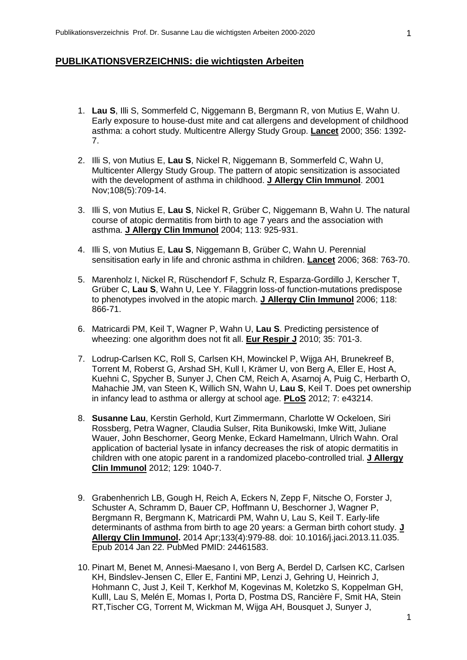## **PUBLIKATIONSVERZEICHNIS: die wichtigsten Arbeiten**

- 1. **Lau S**, Illi S, Sommerfeld C, Niggemann B, Bergmann R, von Mutius E, Wahn U. Early exposure to house-dust mite and cat allergens and development of childhood asthma: a cohort study. Multicentre Allergy Study Group. **Lancet** 2000; 356: 1392- 7.
- 2. Illi S, von Mutius E, **Lau S**, Nickel R, Niggemann B, Sommerfeld C, Wahn U, Multicenter Allergy Study Group. The pattern of atopic sensitization is associated with the development of asthma in childhood. **J Allergy Clin Immunol**. 2001 Nov;108(5):709-14.
- 3. Illi S, von Mutius E, **Lau S**, Nickel R, Grüber C, Niggemann B, Wahn U. The natural course of atopic dermatitis from birth to age 7 years and the association with asthma. **J Allergy Clin Immunol** 2004; 113: 925-931.
- 4. Illi S, von Mutius E, **Lau S**, Niggemann B, Grüber C, Wahn U. Perennial sensitisation early in life and chronic asthma in children. **Lancet** 2006; 368: 763-70.
- 5. Marenholz I, Nickel R, Rüschendorf F, Schulz R, Esparza-Gordillo J, Kerscher T, Grüber C, **Lau S**, Wahn U, Lee Y. Filaggrin loss-of function-mutations predispose to phenotypes involved in the atopic march. **J Allergy Clin Immunol** 2006; 118: 866-71.
- 6. Matricardi PM, Keil T, Wagner P, Wahn U, **Lau S**. Predicting persistence of wheezing: one algorithm does not fit all. **Eur Respir J** 2010; 35: 701-3.
- 7. Lodrup-Carlsen KC, Roll S, Carlsen KH, Mowinckel P, Wijga AH, Brunekreef B, Torrent M, Roberst G, Arshad SH, Kull I, Krämer U, von Berg A, Eller E, Host A, Kuehni C, Spycher B, Sunyer J, Chen CM, Reich A, Asarnoj A, Puig C, Herbarth O, Mahachie JM, van Steen K, Willich SN, Wahn U, **Lau S**, Keil T. Does pet ownership in infancy lead to asthma or allergy at school age. **PLoS** 2012; 7: e43214.
- 8. **Susanne Lau**, Kerstin Gerhold, Kurt Zimmermann, Charlotte W Ockeloen, Siri Rossberg, Petra Wagner, Claudia Sulser, Rita Bunikowski, Imke Witt, Juliane Wauer, John Beschorner, Georg Menke, Eckard Hamelmann, Ulrich Wahn. Oral application of bacterial lysate in infancy decreases the risk of atopic dermatitis in children with one atopic parent in a randomized placebo-controlled trial. **J Allergy Clin Immunol** 2012; 129: 1040-7.
- 9. Grabenhenrich LB, Gough H, Reich A, Eckers N, Zepp F, Nitsche O, Forster J, Schuster A, Schramm D, Bauer CP, Hoffmann U, Beschorner J, Wagner P, Bergmann R, Bergmann K, Matricardi PM, Wahn U, Lau S, Keil T. Early-life determinants of asthma from birth to age 20 years: a German birth cohort study. **J Allergy Clin Immunol.** 2014 Apr;133(4):979-88. doi: 10.1016/j.jaci.2013.11.035. Epub 2014 Jan 22. PubMed PMID: 24461583.
- 10. Pinart M, Benet M, Annesi-Maesano I, von Berg A, Berdel D, Carlsen KC, Carlsen KH, Bindslev-Jensen C, Eller E, Fantini MP, Lenzi J, Gehring U, Heinrich J, Hohmann C, Just J, Keil T, Kerkhof M, Kogevinas M, Koletzko S, Koppelman GH, KullI, Lau S, Melén E, Momas I, Porta D, Postma DS, Rancière F, Smit HA, Stein RT,Tischer CG, Torrent M, Wickman M, Wijga AH, Bousquet J, Sunyer J,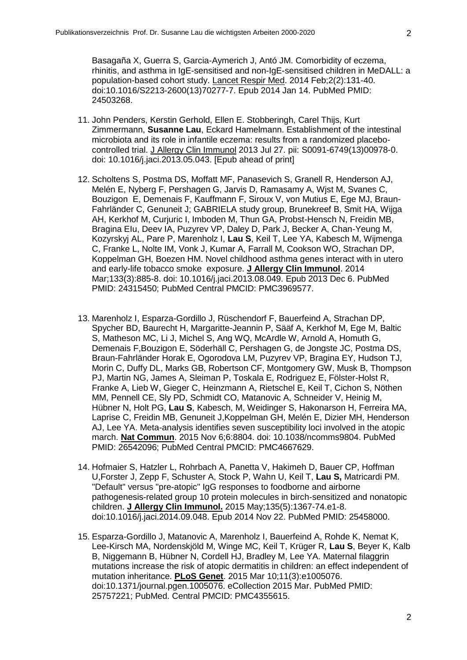Basagaña X, Guerra S, Garcia-Aymerich J, Antó JM. Comorbidity of eczema, rhinitis, and asthma in IgE-sensitised and non-IgE-sensitised children in MeDALL: a population-based cohort study. Lancet Respir Med. 2014 Feb;2(2):131-40. doi:10.1016/S2213-2600(13)70277-7. Epub 2014 Jan 14. PubMed PMID: 24503268.

- 11. John Penders, Kerstin Gerhold, Ellen E. Stobberingh, Carel Thijs, Kurt Zimmermann, **Susanne Lau**, Eckard Hamelmann. Establishment of the intestinal microbiota and its role in infantile eczema: results from a randomized placebocontrolled trial. J Allergy Clin Immunol 2013 Jul 27. pii: S0091-6749(13)00978-0. doi: 10.1016/j.jaci.2013.05.043. [Epub ahead of print]
- 12. Scholtens S, Postma DS, Moffatt MF, Panasevich S, Granell R, Henderson AJ, Melén E, Nyberg F, Pershagen G, Jarvis D, Ramasamy A, Wjst M, Svanes C, Bouzigon E, Demenais F, Kauffmann F, Siroux V, von Mutius E, Ege MJ, Braun-Fahrländer C, Genuneit J; GABRIELA study group, Brunekreef B, Smit HA, Wijga AH, Kerkhof M, Curjuric I, Imboden M, Thun GA, Probst-Hensch N, Freidin MB, Bragina EIu, Deev IA, Puzyrev VP, Daley D, Park J, Becker A, Chan-Yeung M, Kozyrskyj AL, Pare P, Marenholz I, **Lau S**, Keil T, Lee YA, Kabesch M, Wijmenga C, Franke L, Nolte IM, Vonk J, Kumar A, Farrall M, Cookson WO, Strachan DP, Koppelman GH, Boezen HM. Novel childhood asthma genes interact with in utero and early-life tobacco smoke exposure. **J Allergy Clin Immunol**. 2014 Mar;133(3):885-8. doi: 10.1016/j.jaci.2013.08.049. Epub 2013 Dec 6. PubMed PMID: 24315450; PubMed Central PMCID: PMC3969577.
- 13. Marenholz I, Esparza-Gordillo J, Rüschendorf F, Bauerfeind A, Strachan DP, Spycher BD, Baurecht H, Margaritte-Jeannin P, Sääf A, Kerkhof M, Ege M, Baltic S, Matheson MC, Li J, Michel S, Ang WQ, McArdle W, Arnold A, Homuth G, Demenais F,Bouzigon E, Söderhäll C, Pershagen G, de Jongste JC, Postma DS, Braun-Fahrländer Horak E, Ogorodova LM, Puzyrev VP, Bragina EY, Hudson TJ, Morin C, Duffy DL, Marks GB, Robertson CF, Montgomery GW, Musk B, Thompson PJ, Martin NG, James A, Sleiman P, Toskala E, Rodriguez E, Fölster-Holst R, Franke A, Lieb W, Gieger C, Heinzmann A, Rietschel E, Keil T, Cichon S, Nöthen MM, Pennell CE, Sly PD, Schmidt CO, Matanovic A, Schneider V, Heinig M, Hübner N, Holt PG, **Lau S**, Kabesch, M, Weidinger S, Hakonarson H, Ferreira MA, Laprise C, Freidin MB, Genuneit J,Koppelman GH, Melén E, Dizier MH, Henderson AJ, Lee YA. Meta-analysis identifies seven susceptibility loci involved in the atopic march. **Nat Commun**. 2015 Nov 6;6:8804. doi: 10.1038/ncomms9804. PubMed PMID: 26542096; PubMed Central PMCID: PMC4667629.
- 14. Hofmaier S, Hatzler L, Rohrbach A, Panetta V, Hakimeh D, Bauer CP, Hoffman U,Forster J, Zepp F, Schuster A, Stock P, Wahn U, Keil T, **Lau S,** Matricardi PM. "Default" versus "pre-atopic" IgG responses to foodborne and airborne pathogenesis-related group 10 protein molecules in birch-sensitized and nonatopic children. **J Allergy Clin Immunol.** 2015 May;135(5):1367-74.e1-8. doi:10.1016/j.jaci.2014.09.048. Epub 2014 Nov 22. PubMed PMID: 25458000.
- 15. Esparza-Gordillo J, Matanovic A, Marenholz I, Bauerfeind A, Rohde K, Nemat K, Lee-Kirsch MA, Nordenskjöld M, Winge MC, Keil T, Krüger R, **Lau S**, Beyer K, Kalb B, Niggemann B, Hübner N, Cordell HJ, Bradley M, Lee YA. Maternal filaggrin mutations increase the risk of atopic dermatitis in children: an effect independent of mutation inheritance. **PLoS Genet**. 2015 Mar 10;11(3):e1005076. doi:10.1371/journal.pgen.1005076. eCollection 2015 Mar. PubMed PMID: 25757221; PubMed. Central PMCID: PMC4355615.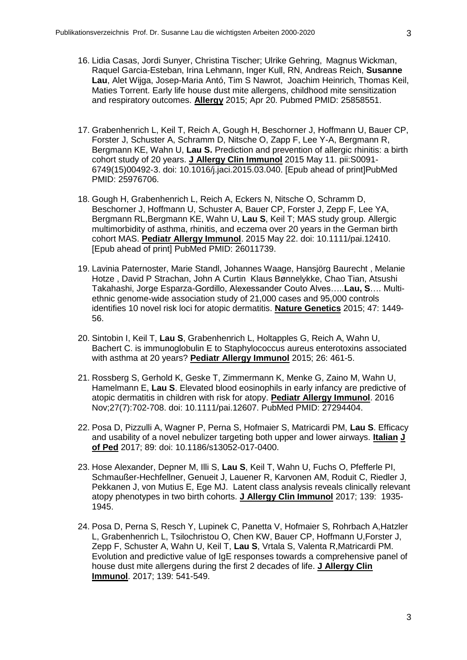- 16. Lidia Casas, Jordi Sunyer, Christina Tischer; Ulrike Gehring, Magnus Wickman, Raquel Garcia-Esteban, Irina Lehmann, Inger Kull, RN, Andreas Reich, **Susanne Lau**, Alet Wijga, Josep-Maria Antó, Tim S Nawrot, Joachim Heinrich, Thomas Keil, Maties Torrent. Early life house dust mite allergens, childhood mite sensitization and respiratory outcomes. **Allergy** 2015; Apr 20. Pubmed PMID: 25858551.
- 17. Grabenhenrich L, Keil T, Reich A, Gough H, Beschorner J, Hoffmann U, Bauer CP, Forster J, Schuster A, Schramm D, Nitsche O, Zapp F, Lee Y-A, Bergmann R, Bergmann KE, Wahn U, **Lau S.** Prediction and prevention of allergic rhinitis: a birth cohort study of 20 years. **J Allergy Clin Immunol** 2015 May 11. pii:S0091- 6749(15)00492-3. doi: 10.1016/j.jaci.2015.03.040. [Epub ahead of print]PubMed PMID: 25976706.
- 18. Gough H, Grabenhenrich L, Reich A, Eckers N, Nitsche O, Schramm D, Beschorner J, Hoffmann U, Schuster A, Bauer CP, Forster J, Zepp F, Lee YA, Bergmann RL,Bergmann KE, Wahn U, **Lau S**, Keil T; MAS study group. Allergic multimorbidity of asthma, rhinitis, and eczema over 20 years in the German birth cohort MAS. **Pediatr Allergy Immunol**. 2015 May 22. doi: 10.1111/pai.12410. [Epub ahead of print] PubMed PMID: 26011739.
- 19. Lavinia Paternoster, Marie Standl, Johannes Waage, Hansjörg Baurecht , Melanie Hotze , David P Strachan, John A Curtin Klaus Bønnelykke, Chao Tian, Atsushi Takahashi, Jorge Esparza-Gordillo, Alexessander Couto Alves…..**Lau, S**…. Multiethnic genome-wide association study of 21,000 cases and 95,000 controls identifies 10 novel risk loci for atopic dermatitis. **Nature Genetics** 2015; 47: 1449- 56.
- 20. Sintobin I, Keil T, **Lau S**, Grabenhenrich L, Holtapples G, Reich A, Wahn U, Bachert C. is immunoglobulin E to Staphylococcus aureus enterotoxins associated with asthma at 20 years? **Pediatr Allergy Immunol** 2015; 26: 461-5.
- 21. Rossberg S, Gerhold K, Geske T, Zimmermann K, Menke G, Zaino M, Wahn U, Hamelmann E, **Lau S**. Elevated blood eosinophils in early infancy are predictive of atopic dermatitis in children with risk for atopy. **Pediatr Allergy Immunol**. 2016 Nov;27(7):702-708. doi: 10.1111/pai.12607. PubMed PMID: 27294404.
- 22. Posa D, Pizzulli A, Wagner P, Perna S, Hofmaier S, Matricardi PM, **Lau S**. Efficacy and usability of a novel nebulizer targeting both upper and lower airways. **Italian J of Ped** 2017; 89: doi: 10.1186/s13052-017-0400.
- 23. Hose Alexander, Depner M, Illi S, **Lau S**, Keil T, Wahn U, Fuchs O, Pfefferle PI, Schmaußer-Hechfellner, Genueit J, Lauener R, Karvonen AM, Roduit C, Riedler J, Pekkanen J, von Mutius E, Ege MJ. Latent class analysis reveals clinically relevant atopy phenotypes in two birth cohorts. **J Allergy Clin Immunol** 2017; 139: 1935- 1945.
- 24. Posa D, Perna S, Resch Y, Lupinek C, Panetta V, Hofmaier S, Rohrbach A,Hatzler L, Grabenhenrich L, Tsilochristou O, Chen KW, Bauer CP, Hoffmann U,Forster J, Zepp F, Schuster A, Wahn U, Keil T, **Lau S**, Vrtala S, Valenta R,Matricardi PM. Evolution and predictive value of IgE responses towards a comprehensive panel of house dust mite allergens during the first 2 decades of life. **J Allergy Clin Immunol**. 2017; 139: 541-549.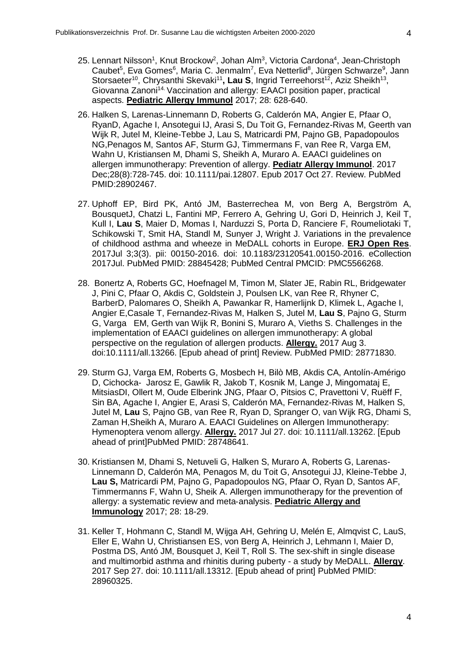- 25. Lennart Nilsson<sup>1</sup>, Knut Brockow<sup>2</sup>, Johan Alm<sup>3</sup>, Victoria Cardona<sup>4</sup>, Jean-Christoph Caubet<sup>5</sup>, Eva Gomes<sup>6</sup>, Maria C. Jenmalm<sup>7</sup>, Eva Netterlid<sup>8</sup>, Jürgen Schwarze<sup>9</sup>, Jann Storsaeter<sup>10</sup>, Chrysanthi Skevaki<sup>11</sup>, Lau S, Ingrid Terreehorst<sup>12</sup>, Aziz Sheikh<sup>13</sup>, Giovanna Zanoni<sup>14.</sup> Vaccination and allergy: EAACI position paper, practical aspects. **Pediatric Allergy Immunol** 2017; 28: 628-640.
- 26. Halken S, Larenas-Linnemann D, Roberts G, Calderón MA, Angier E, Pfaar O, RyanD, Agache I, Ansotegui IJ, Arasi S, Du Toit G, Fernandez-Rivas M, Geerth van Wijk R, Jutel M, Kleine-Tebbe J, Lau S, Matricardi PM, Pajno GB, Papadopoulos NG,Penagos M, Santos AF, Sturm GJ, Timmermans F, van Ree R, Varga EM, Wahn U, Kristiansen M, Dhami S, Sheikh A, Muraro A. EAACI guidelines on allergen immunotherapy: Prevention of allergy. **Pediatr Allergy Immunol**. 2017 Dec;28(8):728-745. doi: 10.1111/pai.12807. Epub 2017 Oct 27. Review. PubMed PMID:28902467.
- 27. Uphoff EP, Bird PK, Antó JM, Basterrechea M, von Berg A, Bergström A, BousquetJ, Chatzi L, Fantini MP, Ferrero A, Gehring U, Gori D, Heinrich J, Keil T, Kull I, **Lau S**, Maier D, Momas I, Narduzzi S, Porta D, Ranciere F, Roumeliotaki T, Schikowski T, Smit HA, Standl M, Sunyer J, Wright J. Variations in the prevalence of childhood asthma and wheeze in MeDALL cohorts in Europe. **ERJ Open Res**. 2017Jul 3;3(3). pii: 00150-2016. doi: 10.1183/23120541.00150-2016. eCollection 2017Jul. PubMed PMID: 28845428; PubMed Central PMCID: PMC5566268.
- 28. Bonertz A, Roberts GC, Hoefnagel M, Timon M, Slater JE, Rabin RL, Bridgewater J, Pini C, Pfaar O, Akdis C, Goldstein J, Poulsen LK, van Ree R, Rhyner C, BarberD, Palomares O, Sheikh A, Pawankar R, Hamerlijnk D, Klimek L, Agache I, Angier E,Casale T, Fernandez-Rivas M, Halken S, Jutel M, **Lau S**, Pajno G, Sturm G, Varga EM, Gerth van Wijk R, Bonini S, Muraro A, Vieths S. Challenges in the implementation of EAACI guidelines on allergen immunotherapy: A global perspective on the regulation of allergen products. **Allergy.** 2017 Aug 3. doi:10.1111/all.13266. [Epub ahead of print] Review. PubMed PMID: 28771830.
- 29. Sturm GJ, Varga EM, Roberts G, Mosbech H, Bilò MB, Akdis CA, Antolín-Amérigo D, Cichocka- Jarosz E, Gawlik R, Jakob T, Kosnik M, Lange J, Mingomataj E, MitsiasDI, Ollert M, Oude Elberink JNG, Pfaar O, Pitsios C, Pravettoni V, Ruëff F, Sin BA, Agache I, Angier E, Arasi S, Calderón MA, Fernandez-Rivas M, Halken S, Jutel M, **Lau** S, Pajno GB, van Ree R, Ryan D, Spranger O, van Wijk RG, Dhami S, Zaman H,Sheikh A, Muraro A. EAACI Guidelines on Allergen Immunotherapy: Hymenoptera venom allergy. **Allergy.** 2017 Jul 27. doi: 10.1111/all.13262. [Epub ahead of print]PubMed PMID: 28748641.
- 30. Kristiansen M, Dhami S, Netuveli G, Halken S, Muraro A, Roberts G, Larenas-Linnemann D, Calderón MA, Penagos M, du Toit G, Ansotegui JJ, Kleine-Tebbe J, **Lau S,** Matricardi PM, Pajno G, Papadopoulos NG, Pfaar O, Ryan D, Santos AF, Timmermanns F, Wahn U, Sheik A. Allergen immunotherapy for the prevention of allergy: a systematic review and meta‐analysis. **Pediatric Allergy and Immunology** 2017; 28: 18-29.
- 31. Keller T, Hohmann C, Standl M, Wijga AH, Gehring U, Melén E, Almqvist C, LauS, Eller E, Wahn U, Christiansen ES, von Berg A, Heinrich J, Lehmann I, Maier D, Postma DS, Antó JM, Bousquet J, Keil T, Roll S. The sex-shift in single disease and multimorbid asthma and rhinitis during puberty - a study by MeDALL. **Allergy**. 2017 Sep 27. doi: 10.1111/all.13312. [Epub ahead of print] PubMed PMID: 28960325.